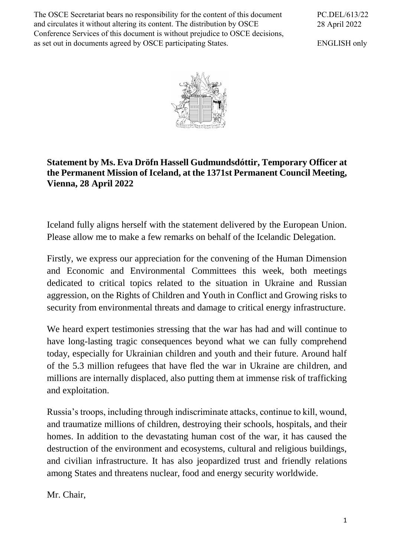The OSCE Secretariat bears no responsibility for the content of this document and circulates it without altering its content. The distribution by OSCE Conference Services of this document is without prejudice to OSCE decisions, as set out in documents agreed by OSCE participating States.

PC.DEL/613/22 28 April 2022

ENGLISH only



## **Statement by Ms. Eva Dröfn Hassell Gudmundsdóttir, Temporary Officer at the Permanent Mission of Iceland, at the 1371st Permanent Council Meeting, Vienna, 28 April 2022**

Iceland fully aligns herself with the statement delivered by the European Union. Please allow me to make a few remarks on behalf of the Icelandic Delegation.

Firstly, we express our appreciation for the convening of the Human Dimension and Economic and Environmental Committees this week, both meetings dedicated to critical topics related to the situation in Ukraine and Russian aggression, on the Rights of Children and Youth in Conflict and Growing risks to security from environmental threats and damage to critical energy infrastructure.

We heard expert testimonies stressing that the war has had and will continue to have long-lasting tragic consequences beyond what we can fully comprehend today, especially for Ukrainian children and youth and their future. Around half of the 5.3 million refugees that have fled the war in Ukraine are children, and millions are internally displaced, also putting them at immense risk of trafficking and exploitation.

Russia's troops, including through indiscriminate attacks, continue to kill, wound, and traumatize millions of children, destroying their schools, hospitals, and their homes. In addition to the devastating human cost of the war, it has caused the destruction of the environment and ecosystems, cultural and religious buildings, and civilian infrastructure. It has also jeopardized trust and friendly relations among States and threatens nuclear, food and energy security worldwide.

Mr. Chair,